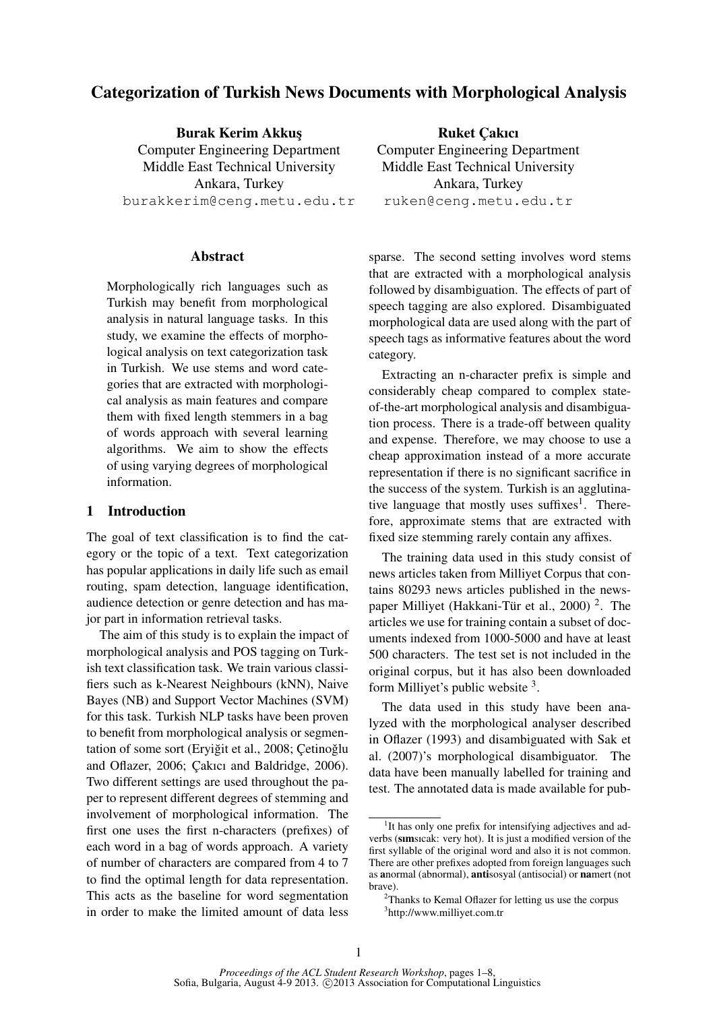# Categorization of Turkish News Documents with Morphological Analysis

Burak Kerim Akkus¸ Computer Engineering Department Middle East Technical University Ankara, Turkey burakkerim@ceng.metu.edu.tr

# Abstract

Morphologically rich languages such as Turkish may benefit from morphological analysis in natural language tasks. In this study, we examine the effects of morphological analysis on text categorization task in Turkish. We use stems and word categories that are extracted with morphological analysis as main features and compare them with fixed length stemmers in a bag of words approach with several learning algorithms. We aim to show the effects of using varying degrees of morphological information.

## 1 Introduction

The goal of text classification is to find the category or the topic of a text. Text categorization has popular applications in daily life such as email routing, spam detection, language identification, audience detection or genre detection and has major part in information retrieval tasks.

The aim of this study is to explain the impact of morphological analysis and POS tagging on Turkish text classification task. We train various classifiers such as k-Nearest Neighbours (kNN), Naive Bayes (NB) and Support Vector Machines (SVM) for this task. Turkish NLP tasks have been proven to benefit from morphological analysis or segmentation of some sort (Eryiğit et al., 2008; Çetinoğlu and Oflazer, 2006; Cakıcı and Baldridge, 2006). Two different settings are used throughout the paper to represent different degrees of stemming and involvement of morphological information. The first one uses the first n-characters (prefixes) of each word in a bag of words approach. A variety of number of characters are compared from 4 to 7 to find the optimal length for data representation. This acts as the baseline for word segmentation in order to make the limited amount of data less

**Ruket Cakıcı** Computer Engineering Department Middle East Technical University Ankara, Turkey ruken@ceng.metu.edu.tr

sparse. The second setting involves word stems that are extracted with a morphological analysis followed by disambiguation. The effects of part of speech tagging are also explored. Disambiguated morphological data are used along with the part of speech tags as informative features about the word category.

Extracting an n-character prefix is simple and considerably cheap compared to complex stateof-the-art morphological analysis and disambiguation process. There is a trade-off between quality and expense. Therefore, we may choose to use a cheap approximation instead of a more accurate representation if there is no significant sacrifice in the success of the system. Turkish is an agglutinative language that mostly uses suffixes<sup>1</sup>. Therefore, approximate stems that are extracted with fixed size stemming rarely contain any affixes.

The training data used in this study consist of news articles taken from Milliyet Corpus that contains 80293 news articles published in the newspaper Milliyet (Hakkani-Tür et al., 2000)<sup>2</sup>. The articles we use for training contain a subset of documents indexed from 1000-5000 and have at least 500 characters. The test set is not included in the original corpus, but it has also been downloaded form Milliyet's public website <sup>3</sup>.

The data used in this study have been analyzed with the morphological analyser described in Oflazer (1993) and disambiguated with Sak et al. (2007)'s morphological disambiguator. The data have been manually labelled for training and test. The annotated data is made available for pub-

<sup>&</sup>lt;sup>1</sup>It has only one prefix for intensifying adjectives and adverbs (sımsıcak: very hot). It is just a modified version of the first syllable of the original word and also it is not common. There are other prefixes adopted from foreign languages such as anormal (abnormal), antisosyal (antisocial) or namert (not brave).

 $2$ Thanks to Kemal Oflazer for letting us use the corpus 3 http://www.milliyet.com.tr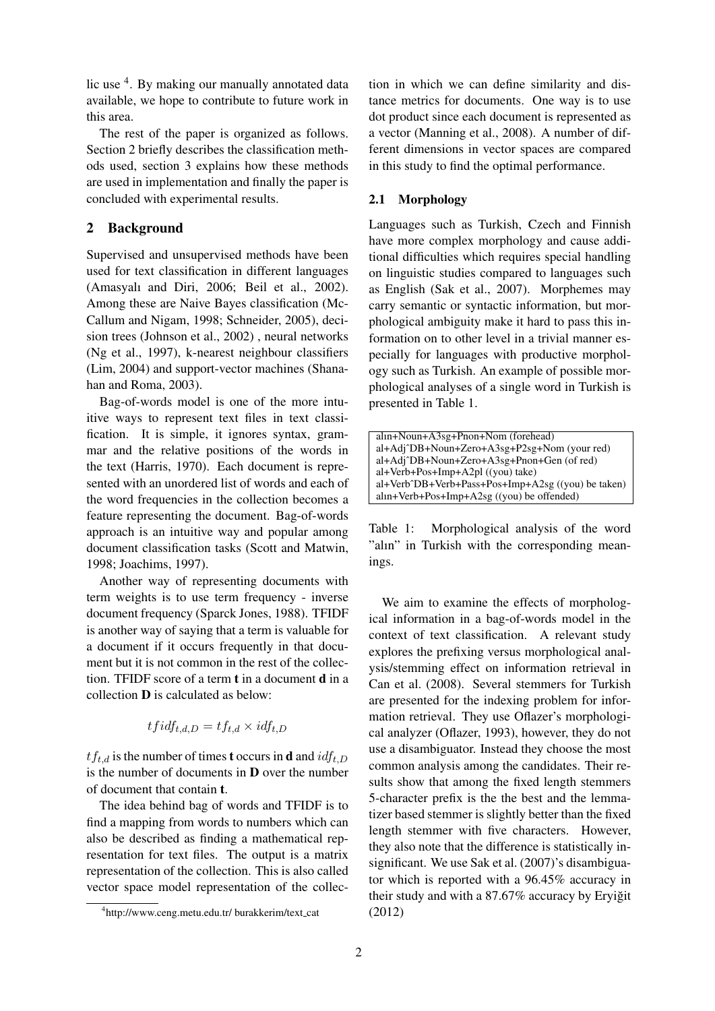lic use <sup>4</sup>. By making our manually annotated data available, we hope to contribute to future work in this area.

The rest of the paper is organized as follows. Section 2 briefly describes the classification methods used, section 3 explains how these methods are used in implementation and finally the paper is concluded with experimental results.

# 2 Background

Supervised and unsupervised methods have been used for text classification in different languages (Amasyalı and Diri, 2006; Beil et al., 2002). Among these are Naive Bayes classification (Mc-Callum and Nigam, 1998; Schneider, 2005), decision trees (Johnson et al., 2002) , neural networks (Ng et al., 1997), k-nearest neighbour classifiers (Lim, 2004) and support-vector machines (Shanahan and Roma, 2003).

Bag-of-words model is one of the more intuitive ways to represent text files in text classification. It is simple, it ignores syntax, grammar and the relative positions of the words in the text (Harris, 1970). Each document is represented with an unordered list of words and each of the word frequencies in the collection becomes a feature representing the document. Bag-of-words approach is an intuitive way and popular among document classification tasks (Scott and Matwin, 1998; Joachims, 1997).

Another way of representing documents with term weights is to use term frequency - inverse document frequency (Sparck Jones, 1988). TFIDF is another way of saying that a term is valuable for a document if it occurs frequently in that document but it is not common in the rest of the collection. TFIDF score of a term t in a document d in a collection D is calculated as below:

$$
tfidf_{t,d,D} = tf_{t,d} \times idf_{t,D}
$$

 $tf_{t,d}$  is the number of times **t** occurs in **d** and  $idf_{t,D}$ is the number of documents in D over the number of document that contain t.

The idea behind bag of words and TFIDF is to find a mapping from words to numbers which can also be described as finding a mathematical representation for text files. The output is a matrix representation of the collection. This is also called vector space model representation of the collec-

tion in which we can define similarity and distance metrics for documents. One way is to use dot product since each document is represented as a vector (Manning et al., 2008). A number of different dimensions in vector spaces are compared in this study to find the optimal performance.

## 2.1 Morphology

Languages such as Turkish, Czech and Finnish have more complex morphology and cause additional difficulties which requires special handling on linguistic studies compared to languages such as English (Sak et al., 2007). Morphemes may carry semantic or syntactic information, but morphological ambiguity make it hard to pass this information on to other level in a trivial manner especially for languages with productive morphology such as Turkish. An example of possible morphological analyses of a single word in Turkish is presented in Table 1.

| alin+Noun+A3sg+Pnon+Nom (forehead)                 |  |
|----------------------------------------------------|--|
| al+Adj^DB+Noun+Zero+A3sg+P2sg+Nom (your red)       |  |
| al+Adj^DB+Noun+Zero+A3sg+Pnon+Gen (of red)         |  |
| al+Verb+Pos+Imp+A2pl ((you) take)                  |  |
| al+Verb^DB+Verb+Pass+Pos+Imp+A2sg ((you) be taken) |  |
| $aln+Verb+Pos+Imp+A2sg$ ((you) be offended)        |  |
|                                                    |  |

Table 1: Morphological analysis of the word "alın" in Turkish with the corresponding meanings.

We aim to examine the effects of morphological information in a bag-of-words model in the context of text classification. A relevant study explores the prefixing versus morphological analysis/stemming effect on information retrieval in Can et al. (2008). Several stemmers for Turkish are presented for the indexing problem for information retrieval. They use Oflazer's morphological analyzer (Oflazer, 1993), however, they do not use a disambiguator. Instead they choose the most common analysis among the candidates. Their results show that among the fixed length stemmers 5-character prefix is the the best and the lemmatizer based stemmer is slightly better than the fixed length stemmer with five characters. However, they also note that the difference is statistically insignificant. We use Sak et al. (2007)'s disambiguator which is reported with a 96.45% accuracy in their study and with a  $87.67\%$  accuracy by Eryiğit (2012)

<sup>4</sup> http://www.ceng.metu.edu.tr/ burakkerim/text cat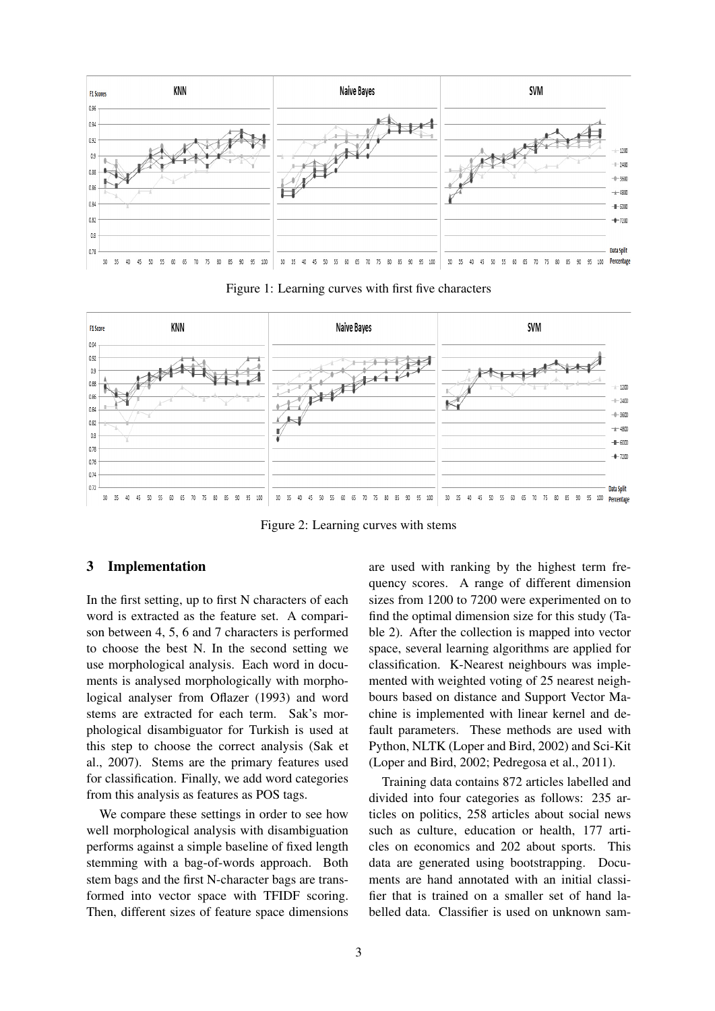

Figure 1: Learning curves with first five characters



Figure 2: Learning curves with stems

## 3 Implementation

In the first setting, up to first N characters of each word is extracted as the feature set. A comparison between 4, 5, 6 and 7 characters is performed to choose the best N. In the second setting we use morphological analysis. Each word in documents is analysed morphologically with morphological analyser from Oflazer (1993) and word stems are extracted for each term. Sak's morphological disambiguator for Turkish is used at this step to choose the correct analysis (Sak et al., 2007). Stems are the primary features used for classification. Finally, we add word categories from this analysis as features as POS tags.

We compare these settings in order to see how well morphological analysis with disambiguation performs against a simple baseline of fixed length stemming with a bag-of-words approach. Both stem bags and the first N-character bags are transformed into vector space with TFIDF scoring. Then, different sizes of feature space dimensions are used with ranking by the highest term frequency scores. A range of different dimension sizes from 1200 to 7200 were experimented on to find the optimal dimension size for this study (Table 2). After the collection is mapped into vector space, several learning algorithms are applied for classification. K-Nearest neighbours was implemented with weighted voting of 25 nearest neighbours based on distance and Support Vector Machine is implemented with linear kernel and default parameters. These methods are used with Python, NLTK (Loper and Bird, 2002) and Sci-Kit (Loper and Bird, 2002; Pedregosa et al., 2011).

Training data contains 872 articles labelled and divided into four categories as follows: 235 articles on politics, 258 articles about social news such as culture, education or health, 177 articles on economics and 202 about sports. This data are generated using bootstrapping. Documents are hand annotated with an initial classifier that is trained on a smaller set of hand labelled data. Classifier is used on unknown sam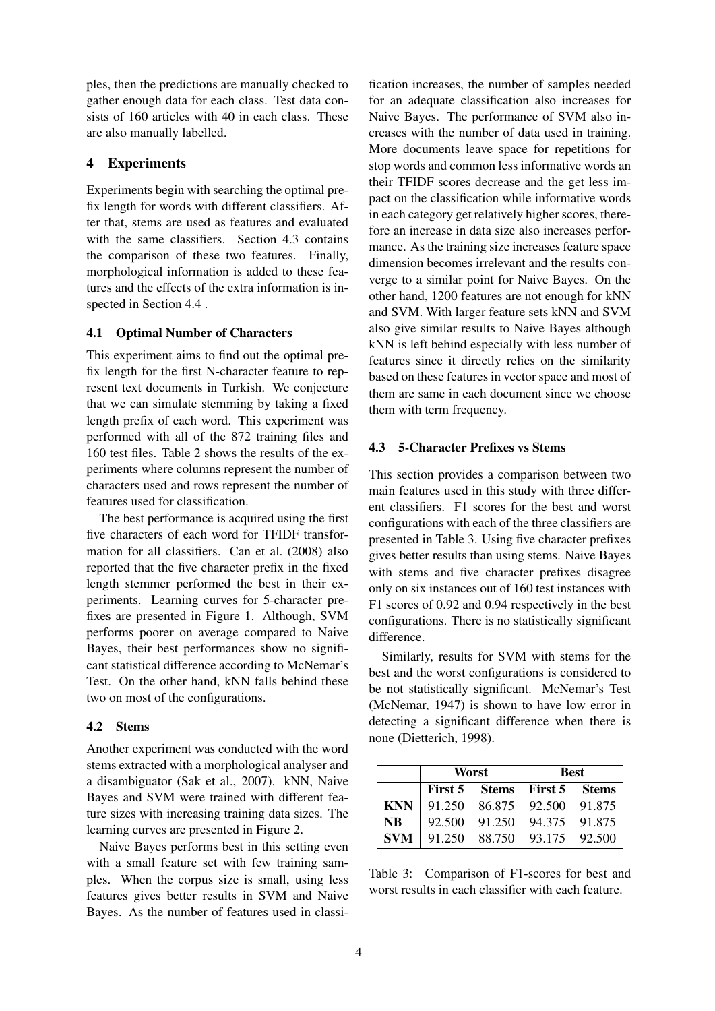ples, then the predictions are manually checked to gather enough data for each class. Test data consists of 160 articles with 40 in each class. These are also manually labelled.

# 4 Experiments

Experiments begin with searching the optimal prefix length for words with different classifiers. After that, stems are used as features and evaluated with the same classifiers. Section 4.3 contains the comparison of these two features. Finally, morphological information is added to these features and the effects of the extra information is inspected in Section 4.4 .

## 4.1 Optimal Number of Characters

This experiment aims to find out the optimal prefix length for the first N-character feature to represent text documents in Turkish. We conjecture that we can simulate stemming by taking a fixed length prefix of each word. This experiment was performed with all of the 872 training files and 160 test files. Table 2 shows the results of the experiments where columns represent the number of characters used and rows represent the number of features used for classification.

The best performance is acquired using the first five characters of each word for TFIDF transformation for all classifiers. Can et al. (2008) also reported that the five character prefix in the fixed length stemmer performed the best in their experiments. Learning curves for 5-character prefixes are presented in Figure 1. Although, SVM performs poorer on average compared to Naive Bayes, their best performances show no significant statistical difference according to McNemar's Test. On the other hand, kNN falls behind these two on most of the configurations.

#### 4.2 Stems

Another experiment was conducted with the word stems extracted with a morphological analyser and a disambiguator (Sak et al., 2007). kNN, Naive Bayes and SVM were trained with different feature sizes with increasing training data sizes. The learning curves are presented in Figure 2.

Naive Bayes performs best in this setting even with a small feature set with few training samples. When the corpus size is small, using less features gives better results in SVM and Naive Bayes. As the number of features used in classi-

fication increases, the number of samples needed for an adequate classification also increases for Naive Bayes. The performance of SVM also increases with the number of data used in training. More documents leave space for repetitions for stop words and common less informative words an their TFIDF scores decrease and the get less impact on the classification while informative words in each category get relatively higher scores, therefore an increase in data size also increases performance. As the training size increases feature space dimension becomes irrelevant and the results converge to a similar point for Naive Bayes. On the other hand, 1200 features are not enough for kNN and SVM. With larger feature sets kNN and SVM also give similar results to Naive Bayes although kNN is left behind especially with less number of features since it directly relies on the similarity based on these features in vector space and most of them are same in each document since we choose them with term frequency.

#### 4.3 5-Character Prefixes vs Stems

This section provides a comparison between two main features used in this study with three different classifiers. F1 scores for the best and worst configurations with each of the three classifiers are presented in Table 3. Using five character prefixes gives better results than using stems. Naive Bayes with stems and five character prefixes disagree only on six instances out of 160 test instances with F1 scores of 0.92 and 0.94 respectively in the best configurations. There is no statistically significant difference.

Similarly, results for SVM with stems for the best and the worst configurations is considered to be not statistically significant. McNemar's Test (McNemar, 1947) is shown to have low error in detecting a significant difference when there is none (Dietterich, 1998).

|            |                      | Worst  | <b>Best</b>          |               |  |  |
|------------|----------------------|--------|----------------------|---------------|--|--|
|            | <b>First 5 Stems</b> |        | <b>First 5</b> Stems |               |  |  |
| <b>KNN</b> | 91.250               | 86.875 | 92.500               | 91.875        |  |  |
| <b>NB</b>  | 92.500               | 91.250 |                      | 94.375 91.875 |  |  |
| <b>SVM</b> | 91.250               | 88.750 |                      | 93.175 92.500 |  |  |

Table 3: Comparison of F1-scores for best and worst results in each classifier with each feature.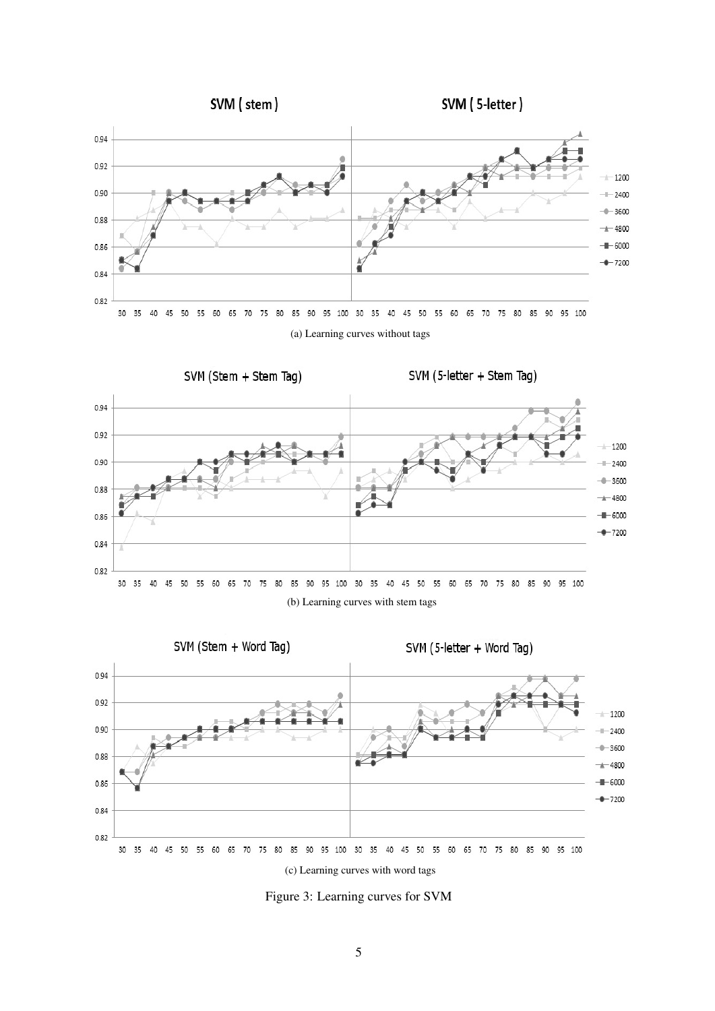

Figure 3: Learning curves for SVM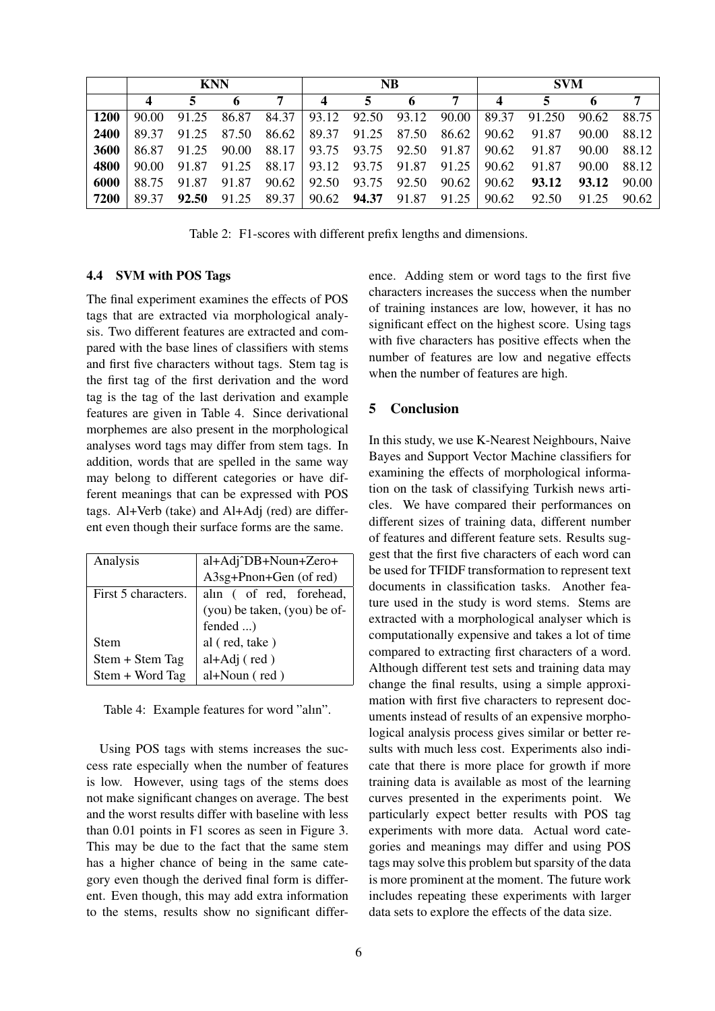|             | <b>KNN</b> |             |       |                                           | <b>NB</b>               |                                                          |   | <b>SVM</b> |                  |             |       |             |
|-------------|------------|-------------|-------|-------------------------------------------|-------------------------|----------------------------------------------------------|---|------------|------------------|-------------|-------|-------------|
|             |            | 5.          |       | 7                                         | $\overline{\mathbf{4}}$ | 5                                                        | 6 | 7          | $\boldsymbol{4}$ | 5           |       |             |
| <b>1200</b> | 90.00      | 91.25       | 86.87 |                                           |                         | $84.37 \mid 93.12 \mid 92.50 \mid 93.12 \mid 90.00 \mid$ |   |            | 89.37            | 91.250      | 90.62 | 88.75       |
| <b>2400</b> | 89.37      | 91.25       | 87.50 | 86.62                                     |                         | 89.37 91.25 87.50                                        |   | 86.62      | 90.62            | 91.87       | 90.00 | 88.12       |
| 3600        |            | 86.87 91.25 | 90.00 | 88.17   93.75 93.75 92.50 91.87           |                         |                                                          |   |            | 90.62            | 91.87       | 90.00 | 88.12       |
| 4800        | 90.00      | 91.87       |       | 91.25 88.17 93.12 93.75 91.87 91.25 90.62 |                         |                                                          |   |            |                  | 91.87       | 90.00 | 88.12       |
| 6000        |            | 88.75 91.87 |       | $91.87$ $90.62$                           |                         | 92.50 93.75 92.50                                        |   | 90.62      | 90.62            | 93.12       |       | 93.12 90.00 |
| 7200        | 89.37      | 92.50       | 91.25 | 89.37                                     |                         | 90.62 <b>94.37</b> 91.87 91.25                           |   |            |                  | 90.62 92.50 |       | 91.25 90.62 |

Table 2: F1-scores with different prefix lengths and dimensions.

#### 4.4 SVM with POS Tags

The final experiment examines the effects of POS tags that are extracted via morphological analysis. Two different features are extracted and compared with the base lines of classifiers with stems and first five characters without tags. Stem tag is the first tag of the first derivation and the word tag is the tag of the last derivation and example features are given in Table 4. Since derivational morphemes are also present in the morphological analyses word tags may differ from stem tags. In addition, words that are spelled in the same way may belong to different categories or have different meanings that can be expressed with POS tags. Al+Verb (take) and Al+Adj (red) are different even though their surface forms are the same.

| al+Adj^DB+Noun+Zero+         |
|------------------------------|
| A3sg+Pnon+Gen (of red)       |
| alin ( of red, forehead,     |
| (you) be taken, (you) be of- |
| fended )                     |
| al (red, take)               |
| $al+Adj$ (red)               |
| $al+Noun$ (red)              |
|                              |

Table 4: Example features for word "alın".

Using POS tags with stems increases the success rate especially when the number of features is low. However, using tags of the stems does not make significant changes on average. The best and the worst results differ with baseline with less than 0.01 points in F1 scores as seen in Figure 3. This may be due to the fact that the same stem has a higher chance of being in the same category even though the derived final form is different. Even though, this may add extra information to the stems, results show no significant difference. Adding stem or word tags to the first five characters increases the success when the number of training instances are low, however, it has no significant effect on the highest score. Using tags with five characters has positive effects when the number of features are low and negative effects when the number of features are high.

# 5 Conclusion

In this study, we use K-Nearest Neighbours, Naive Bayes and Support Vector Machine classifiers for examining the effects of morphological information on the task of classifying Turkish news articles. We have compared their performances on different sizes of training data, different number of features and different feature sets. Results suggest that the first five characters of each word can be used for TFIDF transformation to represent text documents in classification tasks. Another feature used in the study is word stems. Stems are extracted with a morphological analyser which is computationally expensive and takes a lot of time compared to extracting first characters of a word. Although different test sets and training data may change the final results, using a simple approximation with first five characters to represent documents instead of results of an expensive morphological analysis process gives similar or better results with much less cost. Experiments also indicate that there is more place for growth if more training data is available as most of the learning curves presented in the experiments point. We particularly expect better results with POS tag experiments with more data. Actual word categories and meanings may differ and using POS tags may solve this problem but sparsity of the data is more prominent at the moment. The future work includes repeating these experiments with larger data sets to explore the effects of the data size.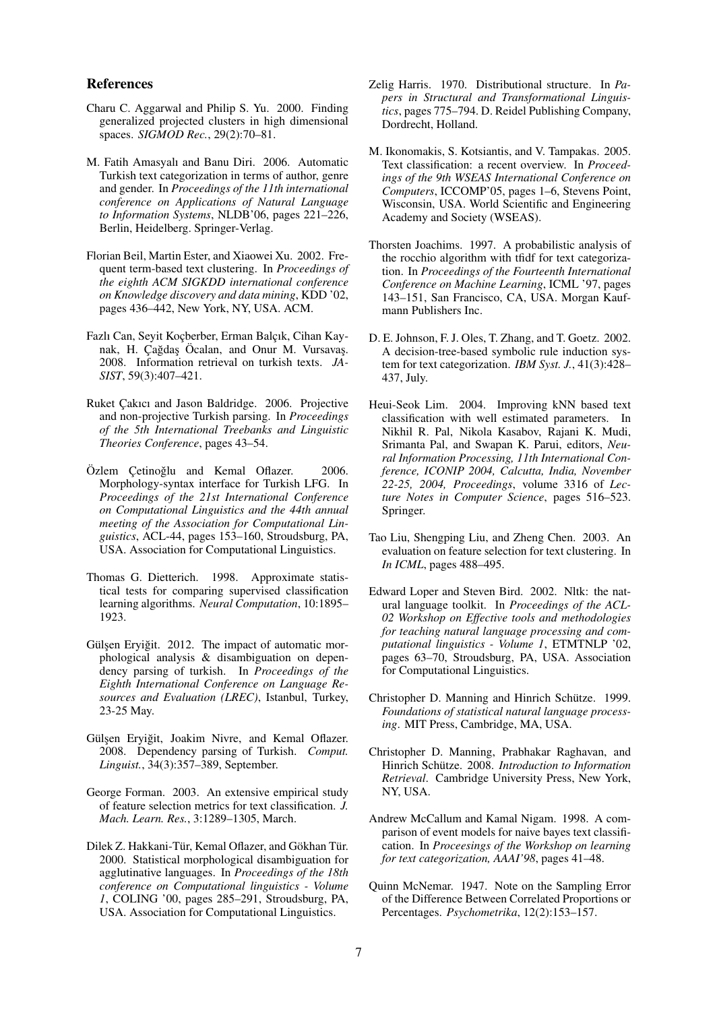#### References

- Charu C. Aggarwal and Philip S. Yu. 2000. Finding generalized projected clusters in high dimensional spaces. *SIGMOD Rec.*, 29(2):70–81.
- M. Fatih Amasyalı and Banu Diri. 2006. Automatic Turkish text categorization in terms of author, genre and gender. In *Proceedings of the 11th international conference on Applications of Natural Language to Information Systems*, NLDB'06, pages 221–226, Berlin, Heidelberg. Springer-Verlag.
- Florian Beil, Martin Ester, and Xiaowei Xu. 2002. Frequent term-based text clustering. In *Proceedings of the eighth ACM SIGKDD international conference on Knowledge discovery and data mining*, KDD '02, pages 436–442, New York, NY, USA. ACM.
- Fazlı Can, Seyit Koçberber, Erman Balçık, Cihan Kaynak, H. Çağdaş Öcalan, and Onur M. Vursavaş. 2008. Information retrieval on turkish texts. *JA-SIST*, 59(3):407–421.
- Ruket Cakıcı and Jason Baldridge. 2006. Projective and non-projective Turkish parsing. In *Proceedings of the 5th International Treebanks and Linguistic Theories Conference*, pages 43–54.
- Özlem Çetinoğlu and Kemal Oflazer. 2006. Morphology-syntax interface for Turkish LFG. In *Proceedings of the 21st International Conference on Computational Linguistics and the 44th annual meeting of the Association for Computational Linguistics*, ACL-44, pages 153–160, Stroudsburg, PA, USA. Association for Computational Linguistics.
- Thomas G. Dietterich. 1998. Approximate statistical tests for comparing supervised classification learning algorithms. *Neural Computation*, 10:1895– 1923.
- Gülşen Eryiğit. 2012. The impact of automatic morphological analysis & disambiguation on dependency parsing of turkish. In *Proceedings of the Eighth International Conference on Language Resources and Evaluation (LREC)*, Istanbul, Turkey, 23-25 May.
- Gülşen Eryiğit, Joakim Nivre, and Kemal Oflazer. 2008. Dependency parsing of Turkish. *Comput. Linguist.*, 34(3):357–389, September.
- George Forman. 2003. An extensive empirical study of feature selection metrics for text classification. *J. Mach. Learn. Res.*, 3:1289–1305, March.
- Dilek Z. Hakkani-Tür, Kemal Oflazer, and Gökhan Tür. 2000. Statistical morphological disambiguation for agglutinative languages. In *Proceedings of the 18th conference on Computational linguistics - Volume 1*, COLING '00, pages 285–291, Stroudsburg, PA, USA. Association for Computational Linguistics.
- Zelig Harris. 1970. Distributional structure. In *Papers in Structural and Transformational Linguistics*, pages 775–794. D. Reidel Publishing Company, Dordrecht, Holland.
- M. Ikonomakis, S. Kotsiantis, and V. Tampakas. 2005. Text classification: a recent overview. In *Proceedings of the 9th WSEAS International Conference on Computers*, ICCOMP'05, pages 1–6, Stevens Point, Wisconsin, USA. World Scientific and Engineering Academy and Society (WSEAS).
- Thorsten Joachims. 1997. A probabilistic analysis of the rocchio algorithm with tfidf for text categorization. In *Proceedings of the Fourteenth International Conference on Machine Learning*, ICML '97, pages 143–151, San Francisco, CA, USA. Morgan Kaufmann Publishers Inc.
- D. E. Johnson, F. J. Oles, T. Zhang, and T. Goetz. 2002. A decision-tree-based symbolic rule induction system for text categorization. *IBM Syst. J.*, 41(3):428– 437, July.
- Heui-Seok Lim. 2004. Improving kNN based text classification with well estimated parameters. In Nikhil R. Pal, Nikola Kasabov, Rajani K. Mudi, Srimanta Pal, and Swapan K. Parui, editors, *Neural Information Processing, 11th International Conference, ICONIP 2004, Calcutta, India, November 22-25, 2004, Proceedings*, volume 3316 of *Lecture Notes in Computer Science*, pages 516–523. Springer.
- Tao Liu, Shengping Liu, and Zheng Chen. 2003. An evaluation on feature selection for text clustering. In *In ICML*, pages 488–495.
- Edward Loper and Steven Bird. 2002. Nltk: the natural language toolkit. In *Proceedings of the ACL-02 Workshop on Effective tools and methodologies for teaching natural language processing and computational linguistics - Volume 1*, ETMTNLP '02, pages 63–70, Stroudsburg, PA, USA. Association for Computational Linguistics.
- Christopher D. Manning and Hinrich Schütze. 1999. *Foundations of statistical natural language processing*. MIT Press, Cambridge, MA, USA.
- Christopher D. Manning, Prabhakar Raghavan, and Hinrich Schütze. 2008. Introduction to Information *Retrieval*. Cambridge University Press, New York, NY, USA.
- Andrew McCallum and Kamal Nigam. 1998. A comparison of event models for naive bayes text classification. In *Proceesings of the Workshop on learning for text categorization, AAAI'98*, pages 41–48.
- Quinn McNemar. 1947. Note on the Sampling Error of the Difference Between Correlated Proportions or Percentages. *Psychometrika*, 12(2):153–157.